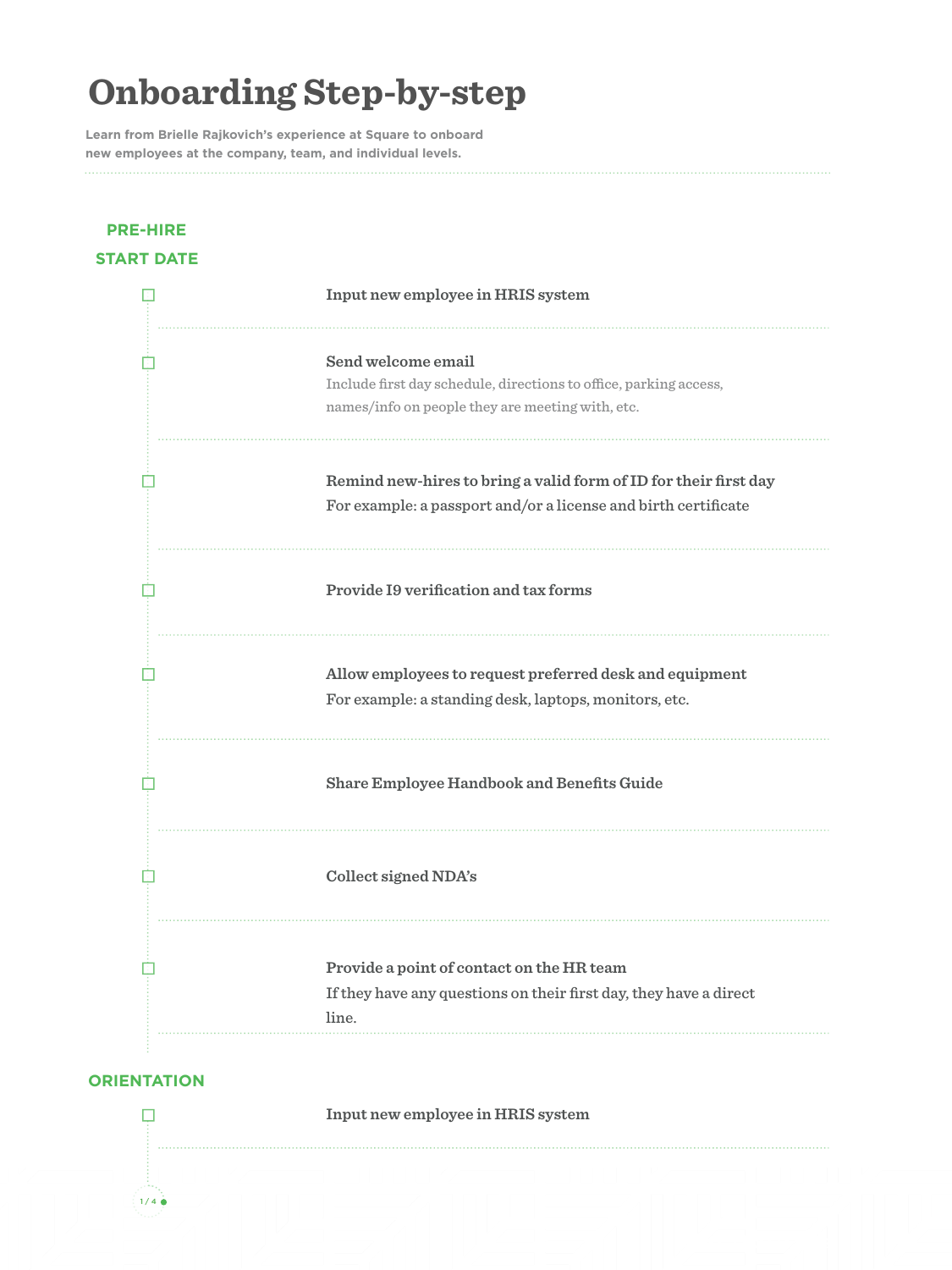**Learn from Brielle Rajkovich's experience at Square to onboard new employees at the company, team, and individual levels.** 

### **PRE-HIRE START DATE**

| Input new employee in HRIS system                                                                                                           |
|---------------------------------------------------------------------------------------------------------------------------------------------|
| Send welcome email<br>Include first day schedule, directions to office, parking access,<br>names/info on people they are meeting with, etc. |
| Remind new-hires to bring a valid form of ID for their first day<br>For example: a passport and/or a license and birth certificate          |
| <b>Provide I9 verification and tax forms</b>                                                                                                |
| Allow employees to request preferred desk and equipment<br>For example: a standing desk, laptops, monitors, etc.                            |
| <b>Share Employee Handbook and Benefits Guide</b>                                                                                           |
| <b>Collect signed NDA's</b>                                                                                                                 |
| Provide a point of contact on the HR team<br>If they have any questions on their first day, they have a direct<br>line.                     |

### **ORIENTATION**

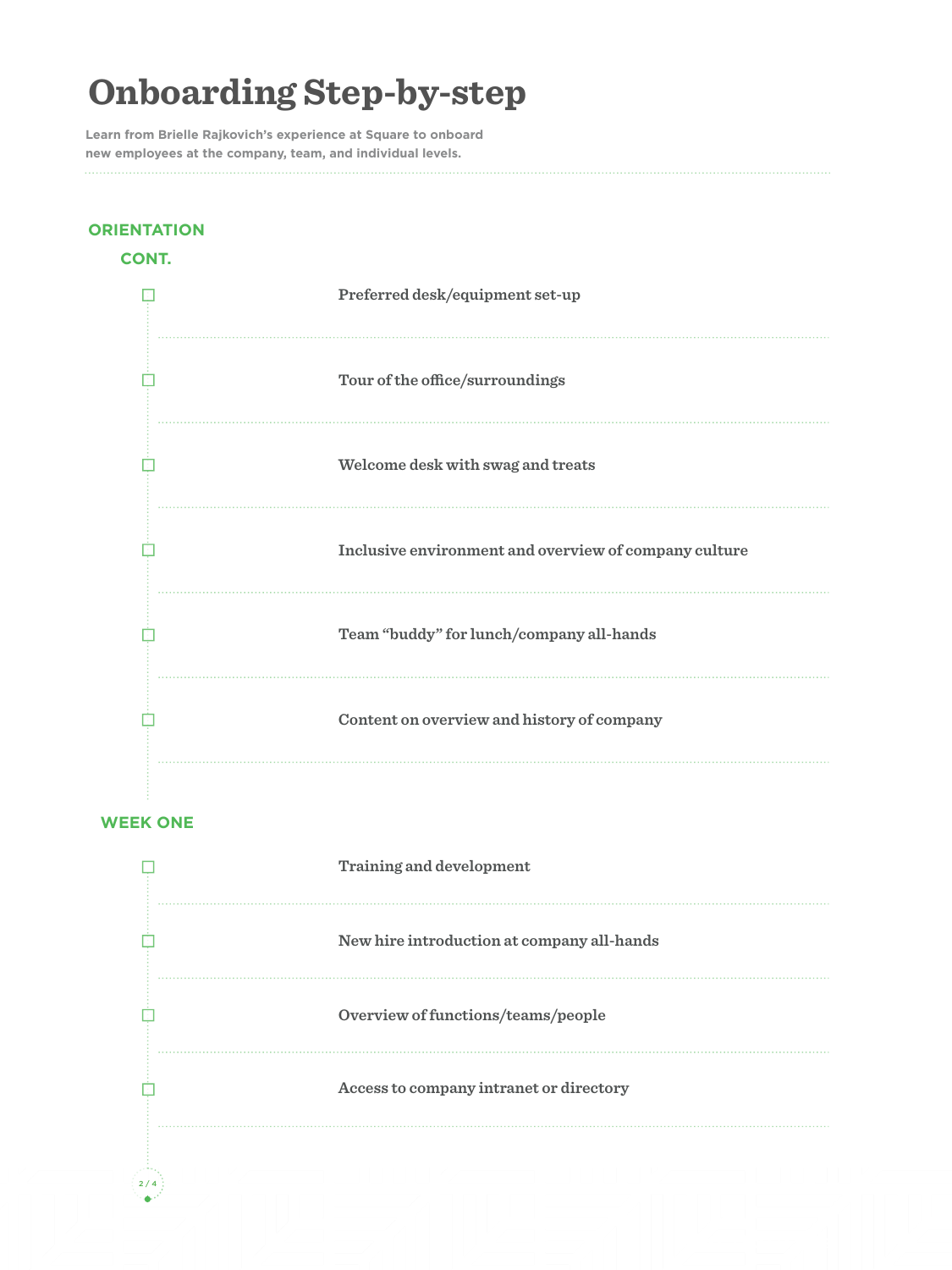**Learn from Brielle Rajkovich's experience at Square to onboard new employees at the company, team, and individual levels.** 

### **CONT. Preferred desk/equipment set-up**  $\overline{\mathbb{R}}$  $\mathbb{R}^n$ **Tour of the office/surroundings** A. **Welcome desk with swag and treats** Œ. **Inclusive environment and overview of company culture Team "buddy" for lunch/company all-hands**  $\mathbb{R}^n$ Ė **Content on overview and history of company**

#### **WEEK ONE**

**ORIENTATION** 

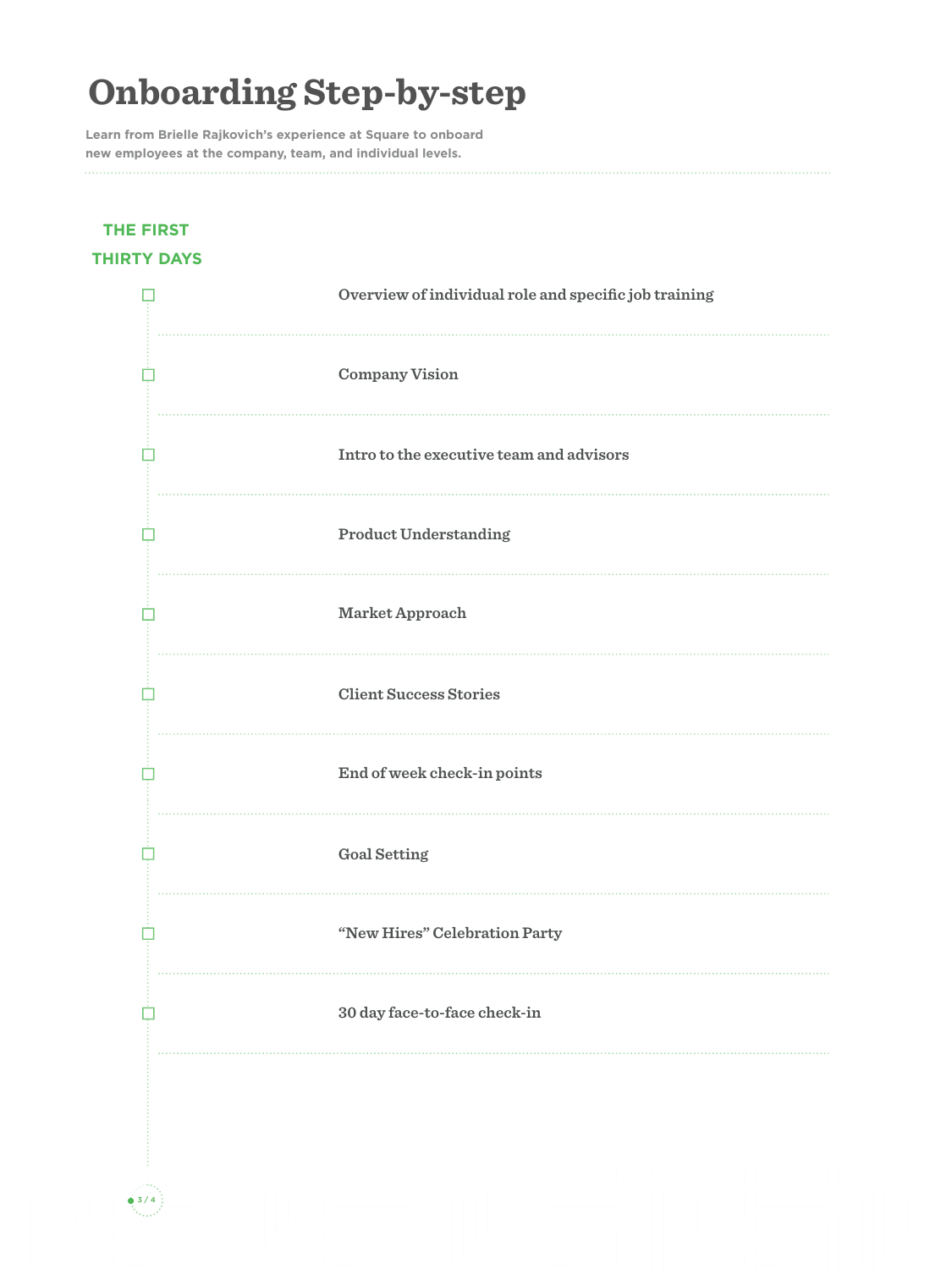**Learn from Brielle Rajkovich's experience at Square to onboard new employees at the company, team, and individual levels.** 

### **THE FIRST THIRTY DAYS**

| Overview of individual role and specific job training |
|-------------------------------------------------------|
| <b>Company Vision</b>                                 |
| Intro to the executive team and advisors              |
| <b>Product Understanding</b>                          |
| Market Approach                                       |
| <b>Client Success Stories</b>                         |
| End of week check-in points                           |
| <b>Goal Setting</b>                                   |
| "New Hires" Celebration Party                         |
| 30 day face-to-face check-in                          |
|                                                       |
|                                                       |